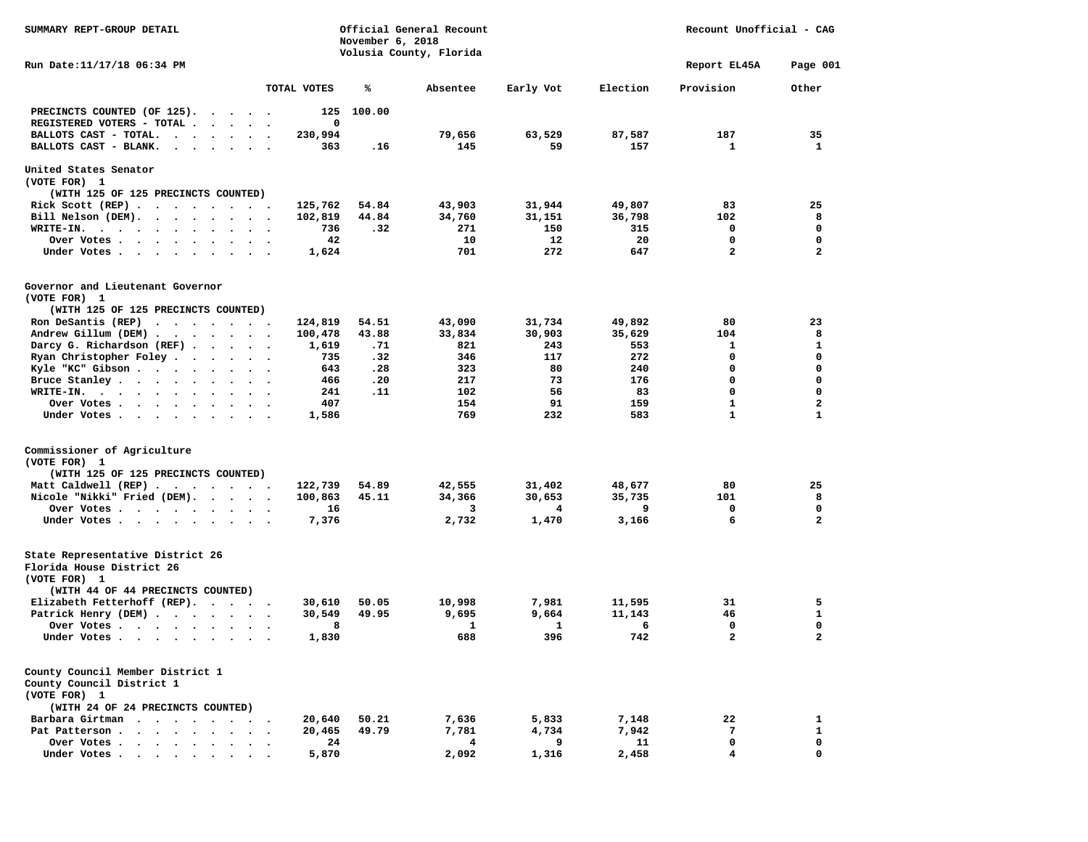| SUMMARY REPT-GROUP DETAIL                                                     | Official General Recount<br>November 6, 2018<br>Volusia County, Florida |                |          |           |          | Recount Unofficial - CAG     |              |  |
|-------------------------------------------------------------------------------|-------------------------------------------------------------------------|----------------|----------|-----------|----------|------------------------------|--------------|--|
| Run Date: 11/17/18 06:34 PM                                                   |                                                                         |                |          |           |          | Report EL45A                 | Page 001     |  |
|                                                                               | TOTAL VOTES                                                             | ℁              | Absentee | Early Vot | Election | Provision                    | Other        |  |
| PRECINCTS COUNTED (OF 125).                                                   | 125                                                                     | 100.00         |          |           |          |                              |              |  |
| REGISTERED VOTERS - TOTAL                                                     | $\mathbf 0$                                                             |                |          |           |          |                              |              |  |
| BALLOTS CAST - TOTAL.<br>$\cdot$ $\cdot$ $\cdot$ $\cdot$<br>$\bullet$ .       | 230,994                                                                 |                | 79,656   | 63,529    | 87,587   | 187                          | 35           |  |
| BALLOTS CAST - BLANK.<br>$\ddot{\phantom{1}}$<br>$\sim$ $\sim$                | 363                                                                     | .16            | 145      | 59        | 157      | 1                            | 1            |  |
| United States Senator                                                         |                                                                         |                |          |           |          |                              |              |  |
| (VOTE FOR) 1                                                                  |                                                                         |                |          |           |          |                              |              |  |
| (WITH 125 OF 125 PRECINCTS COUNTED)                                           |                                                                         |                |          |           |          |                              |              |  |
| Rick Scott (REP)                                                              | 125,762                                                                 | 54.84          | 43,903   | 31,944    | 49,807   | 83                           | 25           |  |
| Bill Nelson (DEM).                                                            | 102,819                                                                 | 44.84          | 34,760   | 31,151    | 36,798   | 102                          | 8            |  |
| WRITE-IN.                                                                     | 736                                                                     | .32            | 271      | 150       | 315      | 0                            | $\mathbf 0$  |  |
| Over Votes<br>$\ddot{\phantom{1}}$                                            | 42                                                                      |                | 10       | 12        | 20       | 0                            | 0            |  |
| Under Votes                                                                   | 1,624                                                                   |                | 701      | 272       | 647      | $\overline{a}$               | $\mathbf{z}$ |  |
| Governor and Lieutenant Governor                                              |                                                                         |                |          |           |          |                              |              |  |
| (VOTE FOR) 1                                                                  |                                                                         |                |          |           |          |                              |              |  |
| (WITH 125 OF 125 PRECINCTS COUNTED)                                           |                                                                         |                |          |           |          |                              |              |  |
| Ron DeSantis (REP) $\cdot \cdot \cdot \cdot \cdot \cdot$                      | 124,819                                                                 | 54.51          | 43,090   | 31,734    | 49,892   | 80                           | 23           |  |
| Andrew Gillum (DEM)                                                           | 100,478                                                                 | 43.88          | 33,834   | 30,903    | 35,629   | 104                          | 8            |  |
| Darcy G. Richardson (REF)                                                     | 1,619                                                                   | .71            | 821      | 243       | 553      | 1                            | 1            |  |
| Ryan Christopher Foley                                                        | 735                                                                     | .32            | 346      | 117       | 272      | $\mathbf 0$                  | $\mathbf 0$  |  |
| Kyle "KC" Gibson                                                              | 643                                                                     | .28            | 323      | 80        | 240      | 0                            | 0            |  |
| Bruce Stanley<br>$\ddotsc$                                                    | 466                                                                     | .20            | 217      | 73        | 176      | 0                            | 0            |  |
| WRITE-IN.<br>$\cdots$                                                         | 241                                                                     | .11            | 102      | 56        | 83       | 0                            | 0            |  |
| Over Votes                                                                    | 407                                                                     |                | 154      | 91        | 159      | 1                            | 2            |  |
| Under Votes                                                                   | 1,586                                                                   |                | 769      | 232       | 583      | $\mathbf{1}$                 | $\mathbf{1}$ |  |
| Commissioner of Agriculture                                                   |                                                                         |                |          |           |          |                              |              |  |
| (VOTE FOR) 1                                                                  |                                                                         |                |          |           |          |                              |              |  |
| (WITH 125 OF 125 PRECINCTS COUNTED)                                           |                                                                         |                |          |           |          |                              |              |  |
| Matt Caldwell (REP)                                                           | 122,739                                                                 | 54.89          | 42,555   | 31,402    | 48,677   | 80                           | 25           |  |
| Nicole "Nikki" Fried (DEM).                                                   | 100,863                                                                 | 45.11          | 34,366   | 30,653    | 35,735   | 101                          | 8            |  |
| Over Votes                                                                    | 16                                                                      |                | 3        | 4         | 9        | 0                            | 0            |  |
| Under Votes                                                                   | 7,376                                                                   |                | 2,732    | 1,470     | 3,166    | 6                            | $\mathbf{2}$ |  |
|                                                                               |                                                                         |                |          |           |          |                              |              |  |
| State Representative District 26<br>Florida House District 26                 |                                                                         |                |          |           |          |                              |              |  |
| (VOTE FOR) 1                                                                  |                                                                         |                |          |           |          |                              |              |  |
| (WITH 44 OF 44 PRECINCTS COUNTED)                                             |                                                                         |                |          |           |          |                              |              |  |
| Elizabeth Fetterhoff (REP).                                                   | 30,610                                                                  | 50.05<br>49.95 | 10,998   | 7,981     | 11,595   | 31                           | 5<br>1       |  |
| Patrick Henry (DEM)                                                           | 30,549                                                                  |                | 9,695    | 9,664     | 11,143   | 46                           | $\mathbf 0$  |  |
| Over Votes<br>$\ddot{\phantom{1}}$                                            | 8                                                                       |                | 1<br>688 | 1<br>396  | 6        | 0<br>$\overline{\mathbf{2}}$ | $\mathbf{z}$ |  |
| Under Votes                                                                   | 1,830                                                                   |                |          |           | 742      |                              |              |  |
| County Council Member District 1<br>County Council District 1<br>(VOTE FOR) 1 |                                                                         |                |          |           |          |                              |              |  |
| (WITH 24 OF 24 PRECINCTS COUNTED)                                             |                                                                         |                |          |           |          |                              |              |  |
| Barbara Girtman<br>$\sim$ $\sim$                                              | 20,640                                                                  | 50.21          | 7,636    | 5,833     | 7,148    | 22                           | 1            |  |
| Pat Patterson.<br><b>Sales Street</b><br>$\sim$                               | 20,465                                                                  | 49.79          | 7,781    | 4,734     | 7,942    | 7                            | $\mathbf{1}$ |  |
| Over Votes .<br>$\sim$                                                        | 24                                                                      |                | 4        | 9         | 11       | 0                            | 0            |  |
| Under Votes.<br>$\bullet$<br>$\cdot$                                          | 5,870                                                                   |                | 2,092    | 1,316     | 2,458    | 4                            | 0            |  |